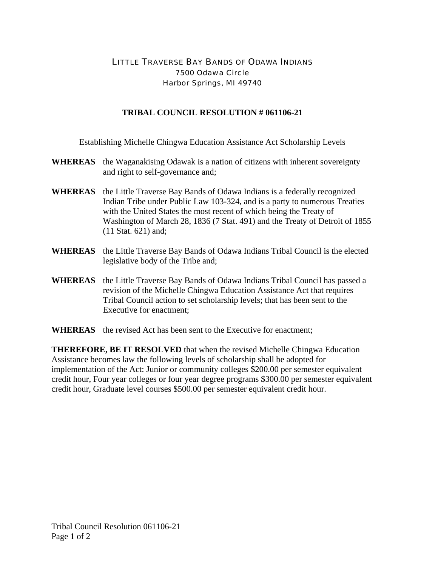## LITTLE TRAVERSE BAY BANDS OF ODAWA INDIANS 7500 Odawa Circle Harbor Springs, MI 49740

## **TRIBAL COUNCIL RESOLUTION # 061106-21**

Establishing Michelle Chingwa Education Assistance Act Scholarship Levels

- **WHEREAS** the Waganakising Odawak is a nation of citizens with inherent sovereignty and right to self-governance and;
- **WHEREAS** the Little Traverse Bay Bands of Odawa Indians is a federally recognized Indian Tribe under Public Law 103-324, and is a party to numerous Treaties with the United States the most recent of which being the Treaty of Washington of March 28, 1836 (7 Stat. 491) and the Treaty of Detroit of 1855 (11 Stat. 621) and;
- **WHEREAS** the Little Traverse Bay Bands of Odawa Indians Tribal Council is the elected legislative body of the Tribe and;
- **WHEREAS** the Little Traverse Bay Bands of Odawa Indians Tribal Council has passed a revision of the Michelle Chingwa Education Assistance Act that requires Tribal Council action to set scholarship levels; that has been sent to the Executive for enactment;
- **WHEREAS** the revised Act has been sent to the Executive for enactment;

**THEREFORE, BE IT RESOLVED** that when the revised Michelle Chingwa Education Assistance becomes law the following levels of scholarship shall be adopted for implementation of the Act: Junior or community colleges \$200.00 per semester equivalent credit hour, Four year colleges or four year degree programs \$300.00 per semester equivalent credit hour, Graduate level courses \$500.00 per semester equivalent credit hour.